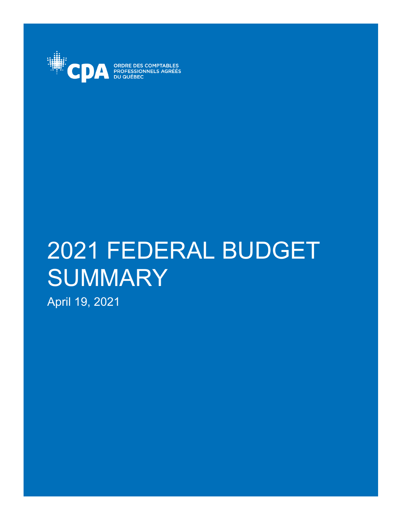

ORDRE DES COMPTABLES<br>PROFESSIONNELS AGRÉÉS **DU QUÉBEC** 

# 2021 FEDERAL BUDGET **SUMMARY**

April 19, 2021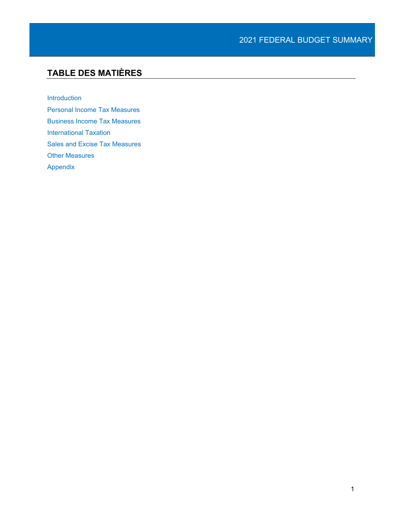# **TABLE DES MATIÈRES**

[Introduction](#page-3-0)

[Personal Income Tax Measures](#page-4-0) [Business Income Tax Measures](#page-7-0) [International Taxation](#page-13-0) [Sales and Excise Tax Measures](#page-13-1) [Other Measures](#page-16-0) [Appendix](#page-17-0)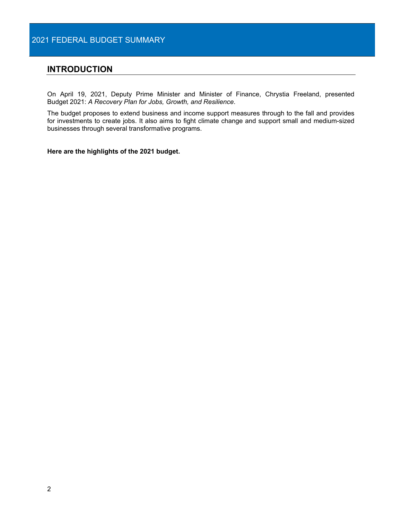## <span id="page-3-0"></span>**INTRODUCTION**

On April 19, 2021, Deputy Prime Minister and Minister of Finance, Chrystia Freeland, presented Budget 2021: *A Recovery Plan for Jobs, Growth, and Resilience*.

The budget proposes to extend business and income support measures through to the fall and provides for investments to create jobs. It also aims to fight climate change and support small and medium-sized businesses through several transformative programs.

**Here are the highlights of the 2021 budget.**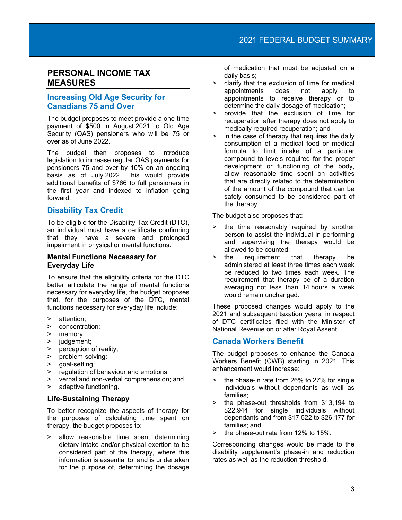## <span id="page-4-0"></span>**PERSONAL INCOME TAX MEASURES**

## **Increasing Old Age Security for Canadians 75 and Over**

The budget proposes to meet provide a one-time payment of \$500 in August 2021 to Old Age Security (OAS) pensioners who will be 75 or over as of June 2022.

The budget then proposes to introduce legislation to increase regular OAS payments for pensioners 75 and over by 10% on an ongoing basis as of July 2022. This would provide additional benefits of \$766 to full pensioners in the first year and indexed to inflation going forward.

## **Disability Tax Credit**

To be eligible for the Disability Tax Credit (DTC), an individual must have a certificate confirming that they have a severe and prolonged impairment in physical or mental functions.

## **Mental Functions Necessary for Everyday Life**

To ensure that the eligibility criteria for the DTC better articulate the range of mental functions necessary for everyday life, the budget proposes that, for the purposes of the DTC, mental functions necessary for everyday life include:

- > attention;
- > concentration;
- > memory;
- > judgement;
- > perception of reality;
- > problem-solving;<br>> goal-setting;
- > goal-setting;
- > regulation of behaviour and emotions;
- > verbal and non-verbal comprehension; and
- > adaptive functioning.

## **Life-Sustaining Therapy**

To better recognize the aspects of therapy for the purposes of calculating time spent on therapy, the budget proposes to:

> allow reasonable time spent determining dietary intake and/or physical exertion to be considered part of the therapy, where this information is essential to, and is undertaken for the purpose of, determining the dosage

of medication that must be adjusted on a daily basis;

- > clarify that the exclusion of time for medical appointments does not apply to appointments to receive therapy or to determine the daily dosage of medication;
- > provide that the exclusion of time for recuperation after therapy does not apply to medically required recuperation; and
- > in the case of therapy that requires the daily consumption of a medical food or medical formula to limit intake of a particular compound to levels required for the proper development or functioning of the body, allow reasonable time spent on activities that are directly related to the determination of the amount of the compound that can be safely consumed to be considered part of the therapy.

The budget also proposes that:

- > the time reasonably required by another person to assist the individual in performing and supervising the therapy would be allowed to be counted;
- > the requirement that therapy be administered at least three times each week be reduced to two times each week. The requirement that therapy be of a duration averaging not less than 14 hours a week would remain unchanged.

These proposed changes would apply to the 2021 and subsequent taxation years, in respect of DTC certificates filed with the Minister of National Revenue on or after Royal Assent.

## **Canada Workers Benefit**

The budget proposes to enhance the Canada Workers Benefit (CWB) starting in 2021. This enhancement would increase:

- > the phase-in rate from 26% to 27% for single individuals without dependants as well as families;
- > the phase-out thresholds from \$13,194 to \$22,944 for single individuals without dependants and from \$17,522 to \$26,177 for families; and
- > the phase-out rate from 12% to 15%.

Corresponding changes would be made to the disability supplement's phase-in and reduction rates as well as the reduction threshold.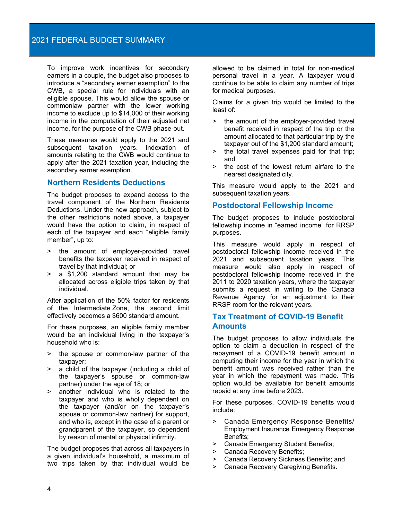To improve work incentives for secondary earners in a couple, the budget also proposes to introduce a "secondary earner exemption" to the CWB, a special rule for individuals with an eligible spouse. This would allow the spouse or commonlaw partner with the lower working income to exclude up to \$14,000 of their working income in the computation of their adjusted net income, for the purpose of the CWB phase-out.

These measures would apply to the 2021 and subsequent taxation years. Indexation of amounts relating to the CWB would continue to apply after the 2021 taxation year, including the secondary earner exemption.

## **Northern Residents Deductions**

The budget proposes to expand access to the travel component of the Northern Residents Deductions. Under the new approach, subject to the other restrictions noted above, a taxpayer would have the option to claim, in respect of each of the taxpayer and each "eligible family member", up to:

- the amount of employer-provided travel benefits the taxpayer received in respect of travel by that individual; or
- > a \$1,200 standard amount that may be allocated across eligible trips taken by that individual.

After application of the 50% factor for residents of the Intermediate Zone, the second limit effectively becomes a \$600 standard amount.

For these purposes, an eligible family member would be an individual living in the taxpayer's household who is:

- the spouse or common-law partner of the taxpayer;
- a child of the taxpayer (including a child of the taxpayer's spouse or common-law partner) under the age of 18; or
- another individual who is related to the taxpayer and who is wholly dependent on the taxpayer (and/or on the taxpayer's spouse or common-law partner) for support, and who is, except in the case of a parent or grandparent of the taxpayer, so dependent by reason of mental or physical infirmity.

The budget proposes that across all taxpayers in a given individual's household, a maximum of two trips taken by that individual would be

allowed to be claimed in total for non-medical personal travel in a year. A taxpayer would continue to be able to claim any number of trips for medical purposes.

Claims for a given trip would be limited to the least of:

- > the amount of the employer-provided travel benefit received in respect of the trip or the amount allocated to that particular trip by the taxpayer out of the \$1,200 standard amount;
- > the total travel expenses paid for that trip; and
- > the cost of the lowest return airfare to the nearest designated city.

This measure would apply to the 2021 and subsequent taxation years.

## **Postdoctoral Fellowship Income**

The budget proposes to include postdoctoral fellowship income in "earned income" for RRSP purposes.

This measure would apply in respect of postdoctoral fellowship income received in the 2021 and subsequent taxation years. This measure would also apply in respect of postdoctoral fellowship income received in the 2011 to 2020 taxation years, where the taxpayer submits a request in writing to the Canada Revenue Agency for an adjustment to their RRSP room for the relevant years.

## **Tax Treatment of COVID-19 Benefit Amounts**

The budget proposes to allow individuals the option to claim a deduction in respect of the repayment of a COVID-19 benefit amount in computing their income for the year in which the benefit amount was received rather than the year in which the repayment was made. This option would be available for benefit amounts repaid at any time before 2023.

For these purposes, COVID-19 benefits would include:

- > Canada Emergency Response Benefits/ Employment Insurance Emergency Response Benefits;
- > Canada Emergency Student Benefits;
- > Canada Recovery Benefits;
- > Canada Recovery Sickness Benefits; and
- > Canada Recovery Caregiving Benefits.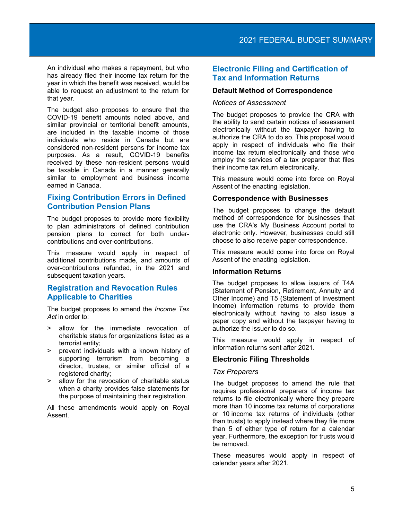An individual who makes a repayment, but who has already filed their income tax return for the year in which the benefit was received, would be able to request an adjustment to the return for that year.

The budget also proposes to ensure that the COVID-19 benefit amounts noted above, and similar provincial or territorial benefit amounts, are included in the taxable income of those individuals who reside in Canada but are considered non-resident persons for income tax purposes. As a result, COVID-19 benefits received by these non-resident persons would be taxable in Canada in a manner generally similar to employment and business income earned in Canada.

## **Fixing Contribution Errors in Defined Contribution Pension Plans**

The budget proposes to provide more flexibility to plan administrators of defined contribution pension plans to correct for both undercontributions and over-contributions.

This measure would apply in respect of additional contributions made, and amounts of over-contributions refunded, in the 2021 and subsequent taxation years.

## **Registration and Revocation Rules Applicable to Charities**

The budget proposes to amend the *Income Tax Act* in order to:

- > allow for the immediate revocation of charitable status for organizations listed as a terrorist entity;
- > prevent individuals with a known history of supporting terrorism from becoming a director, trustee, or similar official of a registered charity;
- > allow for the revocation of charitable status when a charity provides false statements for the purpose of maintaining their registration.

All these amendments would apply on Royal Assent.

## **Electronic Filing and Certification of Tax and Information Returns**

## **Default Method of Correspondence**

#### *Notices of Assessment*

The budget proposes to provide the CRA with the ability to send certain notices of assessment electronically without the taxpayer having to authorize the CRA to do so. This proposal would apply in respect of individuals who file their income tax return electronically and those who employ the services of a tax preparer that files their income tax return electronically.

This measure would come into force on Royal Assent of the enacting legislation.

## **Correspondence with Businesses**

The budget proposes to change the default method of correspondence for businesses that use the CRA's My Business Account portal to electronic only. However, businesses could still choose to also receive paper correspondence.

This measure would come into force on Royal Assent of the enacting legislation.

## **Information Returns**

The budget proposes to allow issuers of T4A (Statement of Pension, Retirement, Annuity and Other Income) and T5 (Statement of Investment Income) information returns to provide them electronically without having to also issue a paper copy and without the taxpayer having to authorize the issuer to do so.

This measure would apply in respect of information returns sent after 2021.

#### **Electronic Filing Thresholds**

## *Tax Preparers*

The budget proposes to amend the rule that requires professional preparers of income tax returns to file electronically where they prepare more than 10 income tax returns of corporations or 10 income tax returns of individuals (other than trusts) to apply instead where they file more than 5 of either type of return for a calendar year. Furthermore, the exception for trusts would be removed.

These measures would apply in respect of calendar years after 2021.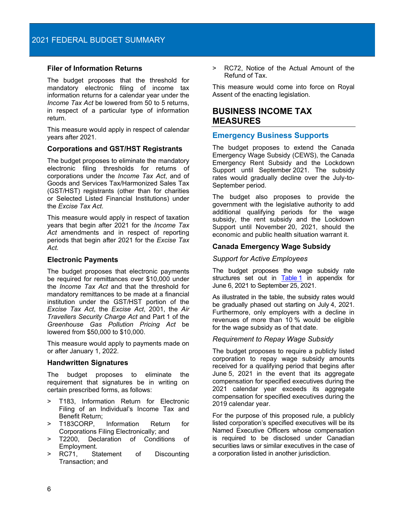## **Filer of Information Returns**

The budget proposes that the threshold for mandatory electronic filing of income tax information returns for a calendar year under the *Income Tax Act* be lowered from 50 to 5 returns, in respect of a particular type of information return.

This measure would apply in respect of calendar years after 2021.

#### **Corporations and GST/HST Registrants**

The budget proposes to eliminate the mandatory electronic filing thresholds for returns of corporations under the *Income Tax Act*, and of Goods and Services Tax/Harmonized Sales Tax (GST/HST) registrants (other than for charities or Selected Listed Financial Institutions) under the *Excise Tax Act*.

This measure would apply in respect of taxation years that begin after 2021 for the *Income Tax Act* amendments and in respect of reporting periods that begin after 2021 for the *Excise Tax Act*.

#### **Electronic Payments**

The budget proposes that electronic payments be required for remittances over \$10,000 under the *Income Tax Act* and that the threshold for mandatory remittances to be made at a financial institution under the GST/HST portion of the *Excise Tax Act*, the *Excise Act*, 2001, the *Air Travellers Security Charge Act* and Part 1 of the *Greenhouse Gas Pollution Pricing Act* be lowered from \$50,000 to \$10,000.

This measure would apply to payments made on or after January 1, 2022.

#### **Handwritten Signatures**

The budget proposes to eliminate the requirement that signatures be in writing on certain prescribed forms, as follows:

- > T183, Information Return for Electronic Filing of an Individual's Income Tax and Benefit Return;
- > T183CORP, Information Return for Corporations Filing Electronically; and<br>> T2200, Declaration of Condition
- Declaration of Conditions of Employment.
- RC71, Statement of Discounting Transaction; and

> RC72, Notice of the Actual Amount of the Refund of Tax.

This measure would come into force on Royal Assent of the enacting legislation.

## <span id="page-7-0"></span>**BUSINESS INCOME TAX MEASURES**

## **Emergency Business Supports**

The budget proposes to extend the Canada Emergency Wage Subsidy (CEWS), the Canada Emergency Rent Subsidy and the Lockdown Support until September 2021. The subsidy rates would gradually decline over the July-to-September period.

The budget also proposes to provide the government with the legislative authority to add additional qualifying periods for the wage subsidy, the rent subsidy and the Lockdown Support until November 20, 2021, should the economic and public health situation warrant it.

#### **Canada Emergency Wage Subsidy**

#### *Support for Active Employees*

The budget proposes the wage subsidy rate structures set out in [Table](#page-17-1) 1 in appendix for June 6, 2021 to September 25, 2021.

As illustrated in the table, the subsidy rates would be gradually phased out starting on July 4, 2021. Furthermore, only employers with a decline in revenues of more than 10 % would be eligible for the wage subsidy as of that date.

#### *Requirement to Repay Wage Subsidy*

The budget proposes to require a publicly listed corporation to repay wage subsidy amounts received for a qualifying period that begins after June 5, 2021 in the event that its aggregate compensation for specified executives during the 2021 calendar year exceeds its aggregate compensation for specified executives during the 2019 calendar year.

For the purpose of this proposed rule, a publicly listed corporation's specified executives will be its Named Executive Officers whose compensation is required to be disclosed under Canadian securities laws or similar executives in the case of a corporation listed in another jurisdiction.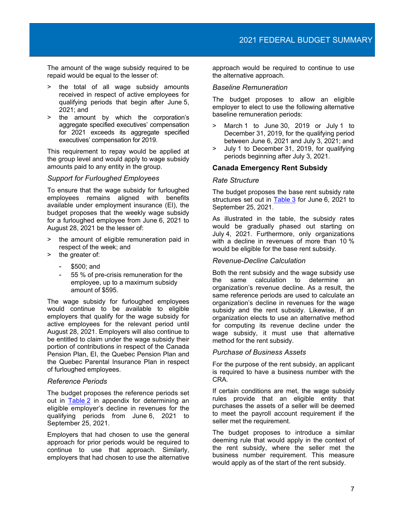The amount of the wage subsidy required to be repaid would be equal to the lesser of:

- > the total of all wage subsidy amounts received in respect of active employees for qualifying periods that begin after June 5, 2021; and
- > the amount by which the corporation's aggregate specified executives' compensation for 2021 exceeds its aggregate specified executives' compensation for 2019.

This requirement to repay would be applied at the group level and would apply to wage subsidy amounts paid to any entity in the group.

#### *Support for Furloughed Employees*

To ensure that the wage subsidy for furloughed employees remains aligned with benefits available under employment insurance (EI), the budget proposes that the weekly wage subsidy for a furloughed employee from June 6, 2021 to August 28, 2021 be the lesser of:

- the amount of eligible remuneration paid in respect of the week; and
- > the greater of:
	- \$500; and
	- 55 % of pre-crisis remuneration for the employee, up to a maximum subsidy amount of \$595.

The wage subsidy for furloughed employees would continue to be available to eligible employers that qualify for the wage subsidy for active employees for the relevant period until August 28, 2021. Employers will also continue to be entitled to claim under the wage subsidy their portion of contributions in respect of the Canada Pension Plan, EI, the Quebec Pension Plan and the Quebec Parental Insurance Plan in respect of furloughed employees.

#### *Reference Periods*

The budget proposes the reference periods set out in [Table](#page-18-0) 2 in appendix for determining an eligible employer's decline in revenues for the qualifying periods from June 6, 2021 to September 25, 2021.

Employers that had chosen to use the general approach for prior periods would be required to continue to use that approach. Similarly, employers that had chosen to use the alternative

approach would be required to continue to use the alternative approach.

#### *Baseline Remuneration*

The budget proposes to allow an eligible employer to elect to use the following alternative baseline remuneration periods:

- > March 1 to June 30, 2019 or July 1 to December 31, 2019, for the qualifying period between June 6, 2021 and July 3, 2021; and
- > July 1 to December 31, 2019, for qualifying periods beginning after July 3, 2021.

## **Canada Emergency Rent Subsidy**

#### *Rate Structure*

The budget proposes the base rent subsidy rate structures set out in [Table](#page-18-1) 3 for June 6, 2021 to September 25, 2021.

As illustrated in the table, the subsidy rates would be gradually phased out starting on July 4, 2021. Furthermore, only organizations with a decline in revenues of more than 10 % would be eligible for the base rent subsidy.

#### *Revenue-Decline Calculation*

Both the rent subsidy and the wage subsidy use the same calculation to determine an organization's revenue decline. As a result, the same reference periods are used to calculate an organization's decline in revenues for the wage subsidy and the rent subsidy. Likewise, if an organization elects to use an alternative method for computing its revenue decline under the wage subsidy, it must use that alternative method for the rent subsidy.

#### *Purchase of Business Assets*

For the purpose of the rent subsidy, an applicant is required to have a business number with the CRA.

If certain conditions are met, the wage subsidy rules provide that an eligible entity that purchases the assets of a seller will be deemed to meet the payroll account requirement if the seller met the requirement.

The budget proposes to introduce a similar deeming rule that would apply in the context of the rent subsidy, where the seller met the business number requirement. This measure would apply as of the start of the rent subsidy.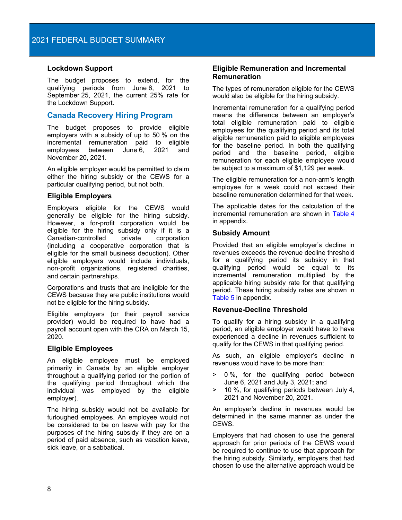## **Lockdown Support**

The budget proposes to extend, for the qualifying periods from June 6, 2021 to September 25, 2021, the current 25% rate for the Lockdown Support.

## **Canada Recovery Hiring Program**

The budget proposes to provide eligible employers with a subsidy of up to 50 % on the incremental remuneration paid to eligible employees between June 6, 2021 and November 20, 2021.

An eligible employer would be permitted to claim either the hiring subsidy or the CEWS for a particular qualifying period, but not both.

## **Eligible Employers**

Employers eligible for the CEWS would generally be eligible for the hiring subsidy. However, a for-profit corporation would be eligible for the hiring subsidy only if it is a Canadian-controlled (including a cooperative corporation that is eligible for the small business deduction). Other eligible employers would include individuals, non‑profit organizations, registered charities, and certain partnerships.

Corporations and trusts that are ineligible for the CEWS because they are public institutions would not be eligible for the hiring subsidy.

Eligible employers (or their payroll service provider) would be required to have had a payroll account open with the CRA on March 15, 2020.

## **Eligible Employees**

An eligible employee must be employed primarily in Canada by an eligible employer throughout a qualifying period (or the portion of the qualifying period throughout which the individual was employed by the eligible employer).

The hiring subsidy would not be available for furloughed employees. An employee would not be considered to be on leave with pay for the purposes of the hiring subsidy if they are on a period of paid absence, such as vacation leave, sick leave, or a sabbatical.

## **Eligible Remuneration and Incremental Remuneration**

The types of remuneration eligible for the CEWS would also be eligible for the hiring subsidy.

Incremental remuneration for a qualifying period means the difference between an employer's total eligible remuneration paid to eligible employees for the qualifying period and its total eligible remuneration paid to eligible employees for the baseline period. In both the qualifying period and the baseline period, eligible remuneration for each eligible employee would be subject to a maximum of \$1,129 per week.

The eligible remuneration for a non-arm's length employee for a week could not exceed their baseline remuneration determined for that week.

The applicable dates for the calculation of the incremental remuneration are shown in [Table](#page-19-0) 4 in appendix.

## **Subsidy Amount**

Provided that an eligible employer's decline in revenues exceeds the revenue decline threshold for a qualifying period its subsidy in that qualifying period would be equal to its incremental remuneration multiplied by the applicable hiring subsidy rate for that qualifying period. These hiring subsidy rates are shown in [Table](#page-19-1) 5 in appendix.

## **Revenue-Decline Threshold**

To qualify for a hiring subsidy in a qualifying period, an eligible employer would have to have experienced a decline in revenues sufficient to qualify for the CEWS in that qualifying period.

As such, an eligible employer's decline in revenues would have to be more than:

- > 0 %, for the qualifying period between June 6, 2021 and July 3, 2021; and
- > 10 %, for qualifying periods between July 4, 2021 and November 20, 2021.

An employer's decline in revenues would be determined in the same manner as under the CEWS.

Employers that had chosen to use the general approach for prior periods of the CEWS would be required to continue to use that approach for the hiring subsidy. Similarly, employers that had chosen to use the alternative approach would be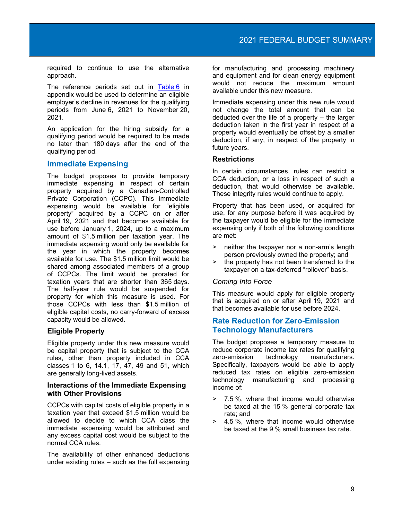required to continue to use the alternative approach.

The reference periods set out in [Table](#page-19-2) 6 in appendix would be used to determine an eligible employer's decline in revenues for the qualifying periods from June 6, 2021 to November 20, 2021.

An application for the hiring subsidy for a qualifying period would be required to be made no later than 180 days after the end of the qualifying period.

## **Immediate Expensing**

The budget proposes to provide temporary immediate expensing in respect of certain property acquired by a Canadian-Controlled Private Corporation (CCPC). This immediate expensing would be available for "eligible property" acquired by a CCPC on or after April 19, 2021 and that becomes available for use before January 1, 2024, up to a maximum amount of \$1.5 million per taxation year. The immediate expensing would only be available for the year in which the property becomes available for use. The \$1.5 million limit would be shared among associated members of a group of CCPCs. The limit would be prorated for taxation years that are shorter than 365 days. The half-year rule would be suspended for property for which this measure is used. For those CCPCs with less than \$1.5 million of eligible capital costs, no carry-forward of excess capacity would be allowed.

## **Eligible Property**

Eligible property under this new measure would be capital property that is subject to the CCA rules, other than property included in CCA classes 1 to 6, 14.1, 17, 47, 49 and 51, which are generally long-lived assets.

## **Interactions of the Immediate Expensing with Other Provisions**

CCPCs with capital costs of eligible property in a taxation year that exceed \$1.5 million would be allowed to decide to which CCA class the immediate expensing would be attributed and any excess capital cost would be subject to the normal CCA rules.

The availability of other enhanced deductions under existing rules – such as the full expensing for manufacturing and processing machinery and equipment and for clean energy equipment would not reduce the maximum amount available under this new measure.

Immediate expensing under this new rule would not change the total amount that can be deducted over the life of a property – the larger deduction taken in the first year in respect of a property would eventually be offset by a smaller deduction, if any, in respect of the property in future years.

## **Restrictions**

In certain circumstances, rules can restrict a CCA deduction, or a loss in respect of such a deduction, that would otherwise be available. These integrity rules would continue to apply.

Property that has been used, or acquired for use, for any purpose before it was acquired by the taxpayer would be eligible for the immediate expensing only if both of the following conditions are met:

- > neither the taxpayer nor a non-arm's length person previously owned the property; and
- > the property has not been transferred to the taxpayer on a tax-deferred "rollover" basis.

## *Coming Into Force*

This measure would apply for eligible property that is acquired on or after April 19, 2021 and that becomes available for use before 2024.

## **Rate Reduction for Zero-Emission Technology Manufacturers**

The budget proposes a temporary measure to reduce corporate income tax rates for qualifying zero-emission technology manufacturers. Specifically, taxpayers would be able to apply reduced tax rates on eligible zero-emission technology manufacturing and processing income of:

- > 7.5 %, where that income would otherwise be taxed at the 15 % general corporate tax rate; and
- > 4.5 %, where that income would otherwise be taxed at the 9 % small business tax rate.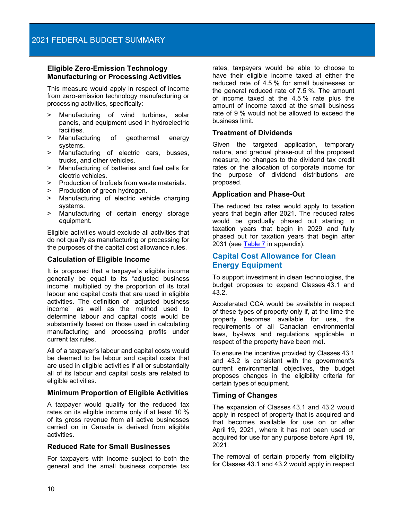## **Eligible Zero-Emission Technology Manufacturing or Processing Activities**

This measure would apply in respect of income from zero-emission technology manufacturing or processing activities, specifically:

- > Manufacturing of wind turbines, solar panels, and equipment used in hydroelectric facilities.
- > Manufacturing of geothermal energy systems.
- > Manufacturing of electric cars, busses, trucks, and other vehicles.
- > Manufacturing of batteries and fuel cells for electric vehicles.
- > Production of biofuels from waste materials.
- > Production of green hydrogen.<br>> Manufacturing of electric veh
- Manufacturing of electric vehicle charging systems.
- > Manufacturing of certain energy storage equipment.

Eligible activities would exclude all activities that do not qualify as manufacturing or processing for the purposes of the capital cost allowance rules.

## **Calculation of Eligible Income**

It is proposed that a taxpayer's eligible income generally be equal to its "adjusted business income" multiplied by the proportion of its total labour and capital costs that are used in eligible activities. The definition of "adjusted business income" as well as the method used to determine labour and capital costs would be substantially based on those used in calculating manufacturing and processing profits under current tax rules.

All of a taxpayer's labour and capital costs would be deemed to be labour and capital costs that are used in eligible activities if all or substantially all of its labour and capital costs are related to eligible activities.

## **Minimum Proportion of Eligible Activities**

A taxpayer would qualify for the reduced tax rates on its eligible income only if at least 10 % of its gross revenue from all active businesses carried on in Canada is derived from eligible activities.

## **Reduced Rate for Small Businesses**

For taxpayers with income subject to both the general and the small business corporate tax

rates, taxpayers would be able to choose to have their eligible income taxed at either the reduced rate of 4.5 % for small businesses or the general reduced rate of 7.5 %. The amount of income taxed at the 4.5 % rate plus the amount of income taxed at the small business rate of 9 % would not be allowed to exceed the business limit.

## **Treatment of Dividends**

Given the targeted application, temporary nature, and gradual phase-out of the proposed measure, no changes to the dividend tax credit rates or the allocation of corporate income for the purpose of dividend distributions are proposed.

## **Application and Phase-Out**

The reduced tax rates would apply to taxation years that begin after 2021. The reduced rates would be gradually phased out starting in taxation years that begin in 2029 and fully phased out for taxation years that begin after 2031 (see [Table](#page-20-0) 7 in appendix).

## **Capital Cost Allowance for Clean Energy Equipment**

To support investment in clean technologies, the budget proposes to expand Classes 43.1 and 43.2.

Accelerated CCA would be available in respect of these types of property only if, at the time the property becomes available for use, the requirements of all Canadian environmental laws, by-laws and regulations applicable in respect of the property have been met.

To ensure the incentive provided by Classes 43.1 and 43.2 is consistent with the government's current environmental objectives, the budget proposes changes in the eligibility criteria for certain types of equipment.

## **Timing of Changes**

The expansion of Classes 43.1 and 43.2 would apply in respect of property that is acquired and that becomes available for use on or after April 19, 2021, where it has not been used or acquired for use for any purpose before April 19, 2021.

The removal of certain property from eligibility for Classes 43.1 and 43.2 would apply in respect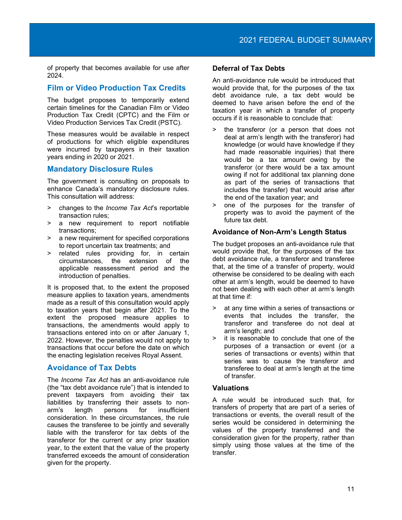of property that becomes available for use after 2024.

## **Film or Video Production Tax Credits**

The budget proposes to temporarily extend certain timelines for the Canadian Film or Video Production Tax Credit (CPTC) and the Film or Video Production Services Tax Credit (PSTC).

These measures would be available in respect of productions for which eligible expenditures were incurred by taxpayers in their taxation years ending in 2020 or 2021.

## **Mandatory Disclosure Rules**

The government is consulting on proposals to enhance Canada's mandatory disclosure rules. This consultation will address:

- > changes to the *Income Tax Act*'s reportable transaction rules;
- > a new requirement to report notifiable transactions;
- > a new requirement for specified corporations to report uncertain tax treatments; and
- > related rules providing for, in certain the extension of the applicable reassessment period and the introduction of penalties.

It is proposed that, to the extent the proposed measure applies to taxation years, amendments made as a result of this consultation would apply to taxation years that begin after 2021. To the extent the proposed measure applies to transactions, the amendments would apply to transactions entered into on or after January 1, 2022. However, the penalties would not apply to transactions that occur before the date on which the enacting legislation receives Royal Assent.

## **Avoidance of Tax Debts**

The *Income Tax Act* has an anti-avoidance rule (the "tax debt avoidance rule") that is intended to prevent taxpayers from avoiding their tax liabilities by transferring their assets to non-<br>arm's length persons for insufficient length persons for insufficient consideration. In these circumstances, the rule causes the transferee to be jointly and severally liable with the transferor for tax debts of the transferor for the current or any prior taxation year, to the extent that the value of the property transferred exceeds the amount of consideration given for the property.

## **Deferral of Tax Debts**

An anti-avoidance rule would be introduced that would provide that, for the purposes of the tax debt avoidance rule, a tax debt would be deemed to have arisen before the end of the taxation year in which a transfer of property occurs if it is reasonable to conclude that:

- > the transferor (or a person that does not deal at arm's length with the transferor) had knowledge (or would have knowledge if they had made reasonable inquiries) that there would be a tax amount owing by the transferor (or there would be a tax amount owing if not for additional tax planning done as part of the series of transactions that includes the transfer) that would arise after the end of the taxation year; and
- > one of the purposes for the transfer of property was to avoid the payment of the future tax debt.

## **Avoidance of Non-Arm's Length Status**

The budget proposes an anti-avoidance rule that would provide that, for the purposes of the tax debt avoidance rule, a transferor and transferee that, at the time of a transfer of property, would otherwise be considered to be dealing with each other at arm's length, would be deemed to have not been dealing with each other at arm's length at that time if:

- > at any time within a series of transactions or events that includes the transfer, the transferor and transferee do not deal at arm's length; and
- > it is reasonable to conclude that one of the purposes of a transaction or event (or a series of transactions or events) within that series was to cause the transferor and transferee to deal at arm's length at the time of transfer.

## **Valuations**

A rule would be introduced such that, for transfers of property that are part of a series of transactions or events, the overall result of the series would be considered in determining the values of the property transferred and the consideration given for the property, rather than simply using those values at the time of the transfer.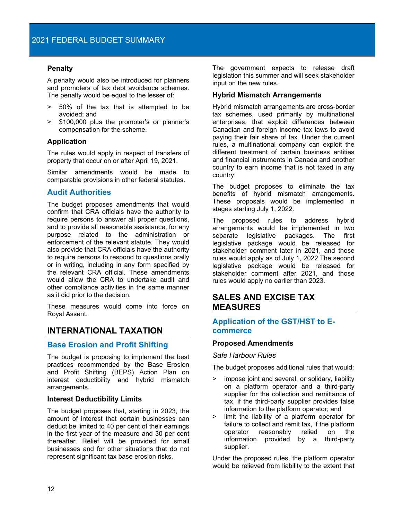## **Penalty**

A penalty would also be introduced for planners and promoters of tax debt avoidance schemes. The penalty would be equal to the lesser of:

- > 50% of the tax that is attempted to be avoided; and
- > \$100,000 plus the promoter's or planner's compensation for the scheme.

## **Application**

The rules would apply in respect of transfers of property that occur on or after April 19, 2021.

Similar amendments would be made to comparable provisions in other federal statutes.

## **Audit Authorities**

The budget proposes amendments that would confirm that CRA officials have the authority to require persons to answer all proper questions, and to provide all reasonable assistance, for any purpose related to the administration or enforcement of the relevant statute. They would also provide that CRA officials have the authority to require persons to respond to questions orally or in writing, including in any form specified by the relevant CRA official. These amendments would allow the CRA to undertake audit and other compliance activities in the same manner as it did prior to the decision.

These measures would come into force on Royal Assent.

## <span id="page-13-0"></span>**INTERNATIONAL TAXATION**

## **Base Erosion and Profit Shifting**

The budget is proposing to implement the best practices recommended by the Base Erosion and Profit Shifting (BEPS) Action Plan on interest deductibility and hybrid mismatch arrangements.

#### **Interest Deductibility Limits**

The budget proposes that, starting in 2023, the amount of interest that certain businesses can deduct be limited to 40 per cent of their earnings in the first year of the measure and 30 per cent thereafter. Relief will be provided for small businesses and for other situations that do not represent significant tax base erosion risks.

The government expects to release draft legislation this summer and will seek stakeholder input on the new rules.

## **Hybrid Mismatch Arrangements**

Hybrid mismatch arrangements are cross-border tax schemes, used primarily by multinational enterprises, that exploit differences between Canadian and foreign income tax laws to avoid paying their fair share of tax. Under the current rules, a multinational company can exploit the different treatment of certain business entities and financial instruments in Canada and another country to earn income that is not taxed in any country.

The budget proposes to eliminate the tax benefits of hybrid mismatch arrangements. These proposals would be implemented in stages starting July 1, 2022.

The proposed rules to address hybrid arrangements would be implemented in two separate legislative packages. The first legislative package would be released for stakeholder comment later in 2021, and those rules would apply as of July 1, 2022.The second legislative package would be released for stakeholder comment after 2021, and those rules would apply no earlier than 2023.

## <span id="page-13-1"></span>**SALES AND EXCISE TAX MEASURES**

## **Application of the GST/HST to Ecommerce**

#### **Proposed Amendments**

#### *Safe Harbour Rules*

The budget proposes additional rules that would:

- > impose joint and several, or solidary, liability on a platform operator and a third-party supplier for the collection and remittance of tax, if the third-party supplier provides false information to the platform operator; and
- > limit the liability of a platform operator for failure to collect and remit tax, if the platform operator reasonably relied on the information provided by a third-party supplier.

Under the proposed rules, the platform operator would be relieved from liability to the extent that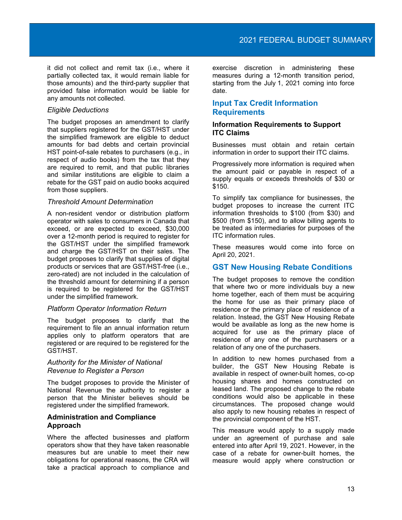it did not collect and remit tax (i.e., where it partially collected tax, it would remain liable for those amounts) and the third-party supplier that provided false information would be liable for any amounts not collected.

## *Eligible Deductions*

The budget proposes an amendment to clarify that suppliers registered for the GST/HST under the simplified framework are eligible to deduct amounts for bad debts and certain provincial HST point-of-sale rebates to purchasers (e.g., in respect of audio books) from the tax that they are required to remit, and that public libraries and similar institutions are eligible to claim a rebate for the GST paid on audio books acquired from those suppliers.

## *Threshold Amount Determination*

A non-resident vendor or distribution platform operator with sales to consumers in Canada that exceed, or are expected to exceed, \$30,000 over a 12-month period is required to register for the GST/HST under the simplified framework and charge the GST/HST on their sales. The budget proposes to clarify that supplies of digital products or services that are GST/HST-free (i.e., zero-rated) are not included in the calculation of the threshold amount for determining if a person is required to be registered for the GST/HST under the simplified framework.

#### *Platform Operator Information Return*

The budget proposes to clarify that the requirement to file an annual information return applies only to platform operators that are registered or are required to be registered for the GST/HST.

## *Authority for the Minister of National Revenue to Register a Person*

The budget proposes to provide the Minister of National Revenue the authority to register a person that the Minister believes should be registered under the simplified framework.

## **Administration and Compliance Approach**

Where the affected businesses and platform operators show that they have taken reasonable measures but are unable to meet their new obligations for operational reasons, the CRA will take a practical approach to compliance and

exercise discretion in administering these measures during a 12-month transition period, starting from the July 1, 2021 coming into force date.

## **Input Tax Credit Information Requirements**

## **Information Requirements to Support ITC Claims**

Businesses must obtain and retain certain information in order to support their ITC claims.

Progressively more information is required when the amount paid or payable in respect of a supply equals or exceeds thresholds of \$30 or \$150.

To simplify tax compliance for businesses, the budget proposes to increase the current ITC information thresholds to \$100 (from \$30) and \$500 (from \$150), and to allow billing agents to be treated as intermediaries for purposes of the ITC information rules.

These measures would come into force on April 20, 2021.

## **GST New Housing Rebate Conditions**

The budget proposes to remove the condition that where two or more individuals buy a new home together, each of them must be acquiring the home for use as their primary place of residence or the primary place of residence of a relation. Instead, the GST New Housing Rebate would be available as long as the new home is acquired for use as the primary place of residence of any one of the purchasers or a relation of any one of the purchasers.

In addition to new homes purchased from a builder, the GST New Housing Rebate is available in respect of owner-built homes, co-op housing shares and homes constructed on leased land. The proposed change to the rebate conditions would also be applicable in these circumstances. The proposed change would also apply to new housing rebates in respect of the provincial component of the HST.

This measure would apply to a supply made under an agreement of purchase and sale entered into after April 19, 2021. However, in the case of a rebate for owner-built homes, the measure would apply where construction or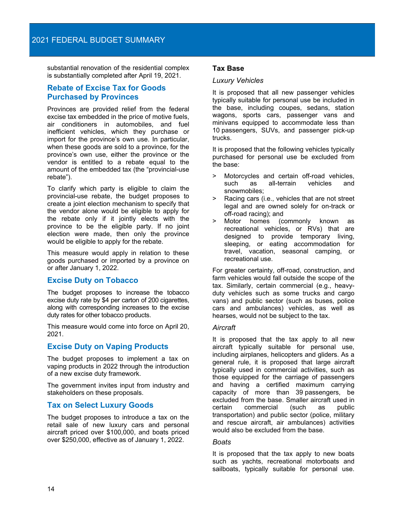substantial renovation of the residential complex is substantially completed after April 19, 2021.

## **Rebate of Excise Tax for Goods Purchased by Provinces**

Provinces are provided relief from the federal excise tax embedded in the price of motive fuels, air conditioners in automobiles, and fuel inefficient vehicles, which they purchase or import for the province's own use. In particular, when these goods are sold to a province, for the province's own use, either the province or the vendor is entitled to a rebate equal to the amount of the embedded tax (the "provincial-use rebate").

To clarify which party is eligible to claim the provincial-use rebate, the budget proposes to create a joint election mechanism to specify that the vendor alone would be eligible to apply for the rebate only if it jointly elects with the province to be the eligible party. If no joint election were made, then only the province would be eligible to apply for the rebate.

This measure would apply in relation to these goods purchased or imported by a province on or after January 1, 2022.

## **Excise Duty on Tobacco**

The budget proposes to increase the tobacco excise duty rate by \$4 per carton of 200 cigarettes, along with corresponding increases to the excise duty rates for other tobacco products.

This measure would come into force on April 20, 2021.

## **Excise Duty on Vaping Products**

The budget proposes to implement a tax on vaping products in 2022 through the introduction of a new excise duty framework.

The government invites input from industry and stakeholders on these proposals.

## **Tax on Select Luxury Goods**

The budget proposes to introduce a tax on the retail sale of new luxury cars and personal aircraft priced over \$100,000, and boats priced over \$250,000, effective as of January 1, 2022.

## **Tax Base**

#### *Luxury Vehicles*

It is proposed that all new passenger vehicles typically suitable for personal use be included in the base, including coupes, sedans, station wagons, sports cars, passenger vans and minivans equipped to accommodate less than 10 passengers, SUVs, and passenger pick-up trucks.

It is proposed that the following vehicles typically purchased for personal use be excluded from the base:

- > Motorcycles and certain off-road vehicles, as all-terrain vehicles and snowmobiles;
- > Racing cars (i.e., vehicles that are not street legal and are owned solely for on-track or off-road racing); and
- > Motor homes (commonly known as recreational vehicles, or RVs) that are designed to provide temporary living, sleeping, or eating accommodation for travel, vacation, seasonal camping, or recreational use.

For greater certainty, off-road, construction, and farm vehicles would fall outside the scope of the tax. Similarly, certain commercial (e.g., heavyduty vehicles such as some trucks and cargo vans) and public sector (such as buses, police cars and ambulances) vehicles, as well as hearses, would not be subject to the tax.

## *Aircraft*

It is proposed that the tax apply to all new aircraft typically suitable for personal use, including airplanes, helicopters and gliders. As a general rule, it is proposed that large aircraft typically used in commercial activities, such as those equipped for the carriage of passengers and having a certified maximum carrying capacity of more than 39 passengers, be excluded from the base. Smaller aircraft used in certain commercial (such as public transportation) and public sector (police, military and rescue aircraft, air ambulances) activities would also be excluded from the base.

## *Boats*

It is proposed that the tax apply to new boats such as yachts, recreational motorboats and sailboats, typically suitable for personal use.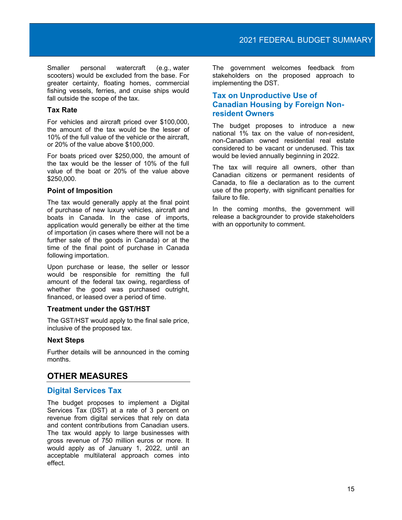Smaller personal watercraft (e.g., water scooters) would be excluded from the base. For greater certainty, floating homes, commercial fishing vessels, ferries, and cruise ships would fall outside the scope of the tax.

## **Tax Rate**

For vehicles and aircraft priced over \$100,000, the amount of the tax would be the lesser of 10% of the full value of the vehicle or the aircraft, or 20% of the value above \$100,000.

For boats priced over \$250,000, the amount of the tax would be the lesser of 10% of the full value of the boat or 20% of the value above \$250,000.

#### **Point of Imposition**

The tax would generally apply at the final point of purchase of new luxury vehicles, aircraft and boats in Canada. In the case of imports, application would generally be either at the time of importation (in cases where there will not be a further sale of the goods in Canada) or at the time of the final point of purchase in Canada following importation.

Upon purchase or lease, the seller or lessor would be responsible for remitting the full amount of the federal tax owing, regardless of whether the good was purchased outright, financed, or leased over a period of time.

#### **Treatment under the GST/HST**

The GST/HST would apply to the final sale price, inclusive of the proposed tax.

#### **Next Steps**

Further details will be announced in the coming months.

## <span id="page-16-0"></span>**OTHER MEASURES**

## **Digital Services Tax**

The budget proposes to implement a Digital Services Tax (DST) at a rate of 3 percent on revenue from digital services that rely on data and content contributions from Canadian users. The tax would apply to large businesses with gross revenue of 750 million euros or more. It would apply as of January 1, 2022, until an acceptable multilateral approach comes into effect.

The government welcomes feedback from stakeholders on the proposed approach to implementing the DST.

## **Tax on Unproductive Use of Canadian Housing by Foreign Nonresident Owners**

The budget proposes to introduce a new national 1% tax on the value of non-resident, non-Canadian owned residential real estate considered to be vacant or underused. This tax would be levied annually beginning in 2022.

The tax will require all owners, other than Canadian citizens or permanent residents of Canada, to file a declaration as to the current use of the property, with significant penalties for failure to file.

In the coming months, the government will release a backgrounder to provide stakeholders with an opportunity to comment.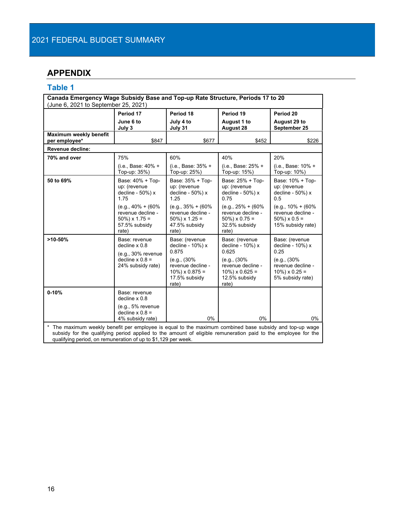# <span id="page-17-0"></span>**APPENDIX**

# <span id="page-17-1"></span>**Table 1**

| Canada Emergency Wage Subsidy Base and Top-up Rate Structure, Periods 17 to 20<br>(June 6, 2021 to September 25, 2021)                                                                                                                                                                             |                                                                                                     |                                                                                                                                  |                                                                                                                                  |                                                                                                                         |  |  |  |
|----------------------------------------------------------------------------------------------------------------------------------------------------------------------------------------------------------------------------------------------------------------------------------------------------|-----------------------------------------------------------------------------------------------------|----------------------------------------------------------------------------------------------------------------------------------|----------------------------------------------------------------------------------------------------------------------------------|-------------------------------------------------------------------------------------------------------------------------|--|--|--|
|                                                                                                                                                                                                                                                                                                    | Period 17<br>June 6 to<br>July 3                                                                    | Period 18<br>July 4 to<br>July 31                                                                                                | Period 19<br><b>August 1 to</b><br>August 28                                                                                     | Period 20<br>August 29 to<br>September 25                                                                               |  |  |  |
| Maximum weekly benefit<br>per employee*                                                                                                                                                                                                                                                            | \$847                                                                                               | \$677                                                                                                                            | \$452                                                                                                                            | \$226                                                                                                                   |  |  |  |
| Revenue decline:                                                                                                                                                                                                                                                                                   |                                                                                                     |                                                                                                                                  |                                                                                                                                  |                                                                                                                         |  |  |  |
| 70% and over                                                                                                                                                                                                                                                                                       | 75%                                                                                                 | 60%                                                                                                                              | 40%                                                                                                                              | 20%                                                                                                                     |  |  |  |
|                                                                                                                                                                                                                                                                                                    | (i.e., Base: 40% +<br>Top-up: 35%)                                                                  | (i.e., Base: 35% +<br>Top-up: 25%)                                                                                               | (i.e., Base: 25% +<br>Top-up: 15%)                                                                                               | (i.e., Base: 10% +<br>Top-up: 10%)                                                                                      |  |  |  |
| 50 to 69%                                                                                                                                                                                                                                                                                          | Base: 40% + Top-<br>up: (revenue<br>decline - 50%) x<br>1.75                                        | Base: 35% + Top-<br>up: (revenue<br>decline - 50%) x<br>1.25                                                                     | Base: 25% + Top-<br>up: (revenue<br>decline - 50%) x<br>0.75                                                                     | Base: 10% + Top-<br>up: (revenue<br>decline - 50%) x<br>0.5                                                             |  |  |  |
|                                                                                                                                                                                                                                                                                                    | $(e.g., 40\% + (60\%)$<br>revenue decline -<br>$50\%$ ) x 1.75 =<br>57.5% subsidy<br>rate)          | $(e.g., 35\% + (60\%)$<br>revenue decline -<br>$50\%$ ) x 1.25 =<br>47.5% subsidy<br>rate)                                       | $(e.q., 25% + (60%$<br>revenue decline -<br>$50\%$ ) x 0.75 =<br>32.5% subsidy<br>rate)                                          | $(e.g., 10\% + (60\%)$<br>revenue decline -<br>$50\%$ ) x 0.5 =<br>15% subsidy rate)                                    |  |  |  |
| $>10 - 50%$                                                                                                                                                                                                                                                                                        | Base: revenue<br>decline $x 0.8$<br>$(e.g., 30\%$ revenue<br>decline $x 0.8 =$<br>24% subsidy rate) | Base: (revenue<br>decline - 10%) x<br>0.875<br>(e.g., (30%)<br>revenue decline -<br>$10\%$ ) x 0.875 =<br>17.5% subsidy<br>rate) | Base: (revenue<br>decline - 10%) x<br>0.625<br>(e.g., (30%)<br>revenue decline -<br>$10\%$ ) x 0.625 =<br>12.5% subsidy<br>rate) | Base: (revenue<br>decline - 10%) x<br>0.25<br>(e.g., (30%<br>revenue decline -<br>$10\%$ ) x 0.25 =<br>5% subsidy rate) |  |  |  |
| $0-10%$                                                                                                                                                                                                                                                                                            | Base: revenue<br>decline $x 0.8$<br>$(e.g., 5%$ revenue<br>decline $x 0.8 =$<br>4% subsidy rate)    | 0%                                                                                                                               | 0%                                                                                                                               | 0%                                                                                                                      |  |  |  |
| $\star$<br>The maximum weekly benefit per employee is equal to the maximum combined base subsidy and top-up wage<br>subsidy for the qualifying period applied to the amount of eligible remuneration paid to the employee for the<br>qualifying period, on remuneration of up to \$1,129 per week. |                                                                                                     |                                                                                                                                  |                                                                                                                                  |                                                                                                                         |  |  |  |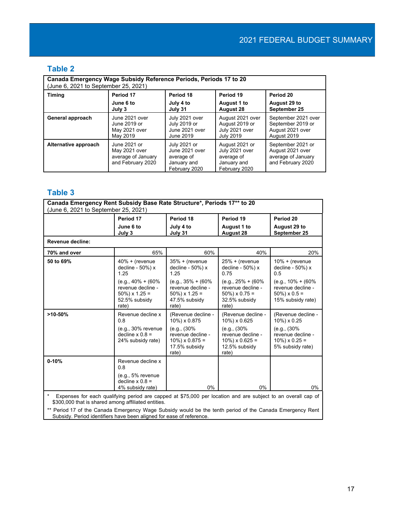# <span id="page-18-0"></span>**Table 2**

| Canada Emergency Wage Subsidy Reference Periods, Periods 17 to 20<br>(June 6, 2021 to September 25, 2021) |                                                                          |                                                                              |                                                                                |                                                                                  |  |  |  |
|-----------------------------------------------------------------------------------------------------------|--------------------------------------------------------------------------|------------------------------------------------------------------------------|--------------------------------------------------------------------------------|----------------------------------------------------------------------------------|--|--|--|
| <b>Timing</b>                                                                                             | Period 17                                                                | Period 18                                                                    | Period 19                                                                      | Period 20                                                                        |  |  |  |
|                                                                                                           | June 6 to                                                                | July 4 to                                                                    | August 1 to                                                                    | August 29 to                                                                     |  |  |  |
|                                                                                                           | July 3                                                                   | July 31                                                                      | <b>August 28</b>                                                               | September 25                                                                     |  |  |  |
| General approach                                                                                          | June 2021 over                                                           | July 2021 over                                                               | August 2021 over                                                               | September 2021 over                                                              |  |  |  |
|                                                                                                           | June 2019 or                                                             | July 2019 or                                                                 | August 2019 or                                                                 | September 2019 or                                                                |  |  |  |
|                                                                                                           | May 2021 over                                                            | June 2021 over                                                               | July 2021 over                                                                 | August 2021 over                                                                 |  |  |  |
|                                                                                                           | May 2019                                                                 | June 2019                                                                    | <b>July 2019</b>                                                               | August 2019                                                                      |  |  |  |
| Alternative approach                                                                                      | June 2021 or<br>May 2021 over<br>average of January<br>and February 2020 | July 2021 or<br>June 2021 over<br>average of<br>January and<br>February 2020 | August 2021 or<br>July 2021 over<br>average of<br>January and<br>February 2020 | September 2021 or<br>August 2021 over<br>average of January<br>and February 2020 |  |  |  |

# <span id="page-18-1"></span>**Table 3**

| Canada Emergency Rent Subsidy Base Rate Structure*, Periods 17** to 20<br>(June 6, 2021 to September 25, 2021)                                                      |                                                                                            |                                                                                            |                                                                                            |                                                                                      |  |  |  |
|---------------------------------------------------------------------------------------------------------------------------------------------------------------------|--------------------------------------------------------------------------------------------|--------------------------------------------------------------------------------------------|--------------------------------------------------------------------------------------------|--------------------------------------------------------------------------------------|--|--|--|
|                                                                                                                                                                     | Period 17                                                                                  | Period 18                                                                                  | Period 19                                                                                  | Period 20                                                                            |  |  |  |
|                                                                                                                                                                     | June 6 to<br>July 3                                                                        | July 4 to<br>July 31                                                                       | August 1 to<br>August 28                                                                   | August 29 to<br>September 25                                                         |  |  |  |
| Revenue decline:                                                                                                                                                    |                                                                                            |                                                                                            |                                                                                            |                                                                                      |  |  |  |
| 70% and over                                                                                                                                                        | 65%                                                                                        | 60%                                                                                        | 40%                                                                                        | 20%                                                                                  |  |  |  |
| 50 to 69%                                                                                                                                                           | $40\% +$ (revenue<br>decline - 50%) x<br>1.25                                              | $35% +$ (revenue<br>decline - 50%) x<br>1.25                                               | $25% +$ (revenue<br>decline - 50%) x<br>0.75                                               | $10% + (revenue)$<br>decline - 50%) x<br>0.5                                         |  |  |  |
|                                                                                                                                                                     | $(e.g., 40\% + (60\%)$<br>revenue decline -<br>$50\%$ ) x 1.25 =<br>52.5% subsidy<br>rate) | $(e.g., 35\% + (60\%)$<br>revenue decline -<br>$50\%$ ) x 1.25 =<br>47.5% subsidy<br>rate) | $(e.g., 25\% + (60\%)$<br>revenue decline -<br>$50\%$ ) x 0.75 =<br>32.5% subsidy<br>rate) | $(e.g., 10\% + (60\%)$<br>revenue decline -<br>$50\%$ ) x 0.5 =<br>15% subsidy rate) |  |  |  |
| $>10-50%$                                                                                                                                                           | Revenue decline x<br>0.8                                                                   | (Revenue decline -<br>10%) x 0.875                                                         | (Revenue decline -<br>10%) x 0.625                                                         | (Revenue decline -<br>10%) x 0.25                                                    |  |  |  |
|                                                                                                                                                                     | $(e.g., 30\%$ revenue<br>decline $x 0.8 =$<br>24% subsidy rate)                            | (e.g., (30%<br>revenue decline -<br>$10\%$ ) x 0.875 =<br>17.5% subsidy<br>rate)           | (e.g., (30%)<br>revenue decline -<br>$10\%$ ) x 0.625 =<br>12.5% subsidy<br>rate)          | (e.g., (30%)<br>revenue decline -<br>$10\%$ ) x 0.25 =<br>5% subsidy rate)           |  |  |  |
| $0 - 10%$                                                                                                                                                           | Revenue decline x<br>0.8                                                                   |                                                                                            |                                                                                            |                                                                                      |  |  |  |
|                                                                                                                                                                     | $(e.g., 5%$ revenue<br>decline $x 0.8 =$<br>4% subsidy rate)                               | $0\%$                                                                                      | 0%                                                                                         | $0\%$                                                                                |  |  |  |
| Expenses for each qualifying period are capped at \$75,000 per location and are subject to an overall cap of<br>\$300,000 that is shared among affiliated entities. |                                                                                            |                                                                                            |                                                                                            |                                                                                      |  |  |  |

\*\* Period 17 of the Canada Emergency Wage Subsidy would be the tenth period of the Canada Emergency Rent Subsidy. Period identifiers have been aligned for ease of reference.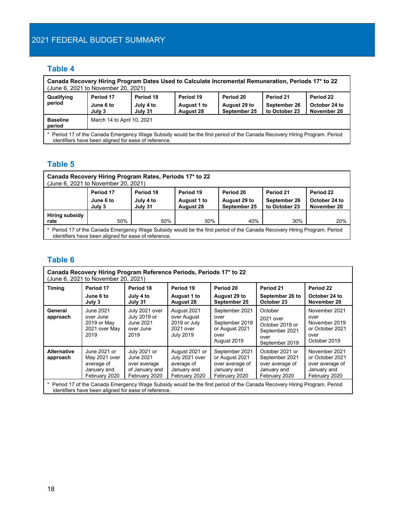# <span id="page-19-0"></span>2021 FEDERAL BUDGET SUMMARY

# **Table 4**

| Canada Recovery Hiring Program Dates Used to Calculate Incremental Remuneration, Periods 17* to 22<br>(June 6, 2021 to November 20, 2021)                                        |                                  |                                   |                                              |                                           |                                            |                                           |  |
|----------------------------------------------------------------------------------------------------------------------------------------------------------------------------------|----------------------------------|-----------------------------------|----------------------------------------------|-------------------------------------------|--------------------------------------------|-------------------------------------------|--|
| Qualifying<br>period                                                                                                                                                             | Period 17<br>June 6 to<br>July 3 | Period 18<br>July 4 to<br>July 31 | Period 19<br>August 1 to<br><b>August 28</b> | Period 20<br>August 29 to<br>September 25 | Period 21<br>September 26<br>to October 23 | Period 22<br>October 24 to<br>November 20 |  |
| March 14 to April 10, 2021<br><b>Baseline</b><br>period                                                                                                                          |                                  |                                   |                                              |                                           |                                            |                                           |  |
| * Period 17 of the Canada Emergency Wage Subsidy would be the first period of the Canada Recovery Hiring Program. Period<br>identifiers have been aligned for ease of reference. |                                  |                                   |                                              |                                           |                                            |                                           |  |

# <span id="page-19-1"></span>**Table 5**

| Canada Recovery Hiring Program Rates, Periods 17* to 22<br>(June 6, 2021 to November 20, 2021)                                                                                   |                                                                                                                                                                                                                                                               |  |  |  |  |  |  |  |
|----------------------------------------------------------------------------------------------------------------------------------------------------------------------------------|---------------------------------------------------------------------------------------------------------------------------------------------------------------------------------------------------------------------------------------------------------------|--|--|--|--|--|--|--|
|                                                                                                                                                                                  | Period 17<br>Period 19<br>Period 21<br>Period 22<br>Period 18<br>Period 20<br>September 26<br>October 24 to<br>July 4 to<br>August 29 to<br>June 6 to<br>August 1 to<br>September 25<br>to October 23<br>November 20<br>July 31<br><b>August 28</b><br>July 3 |  |  |  |  |  |  |  |
| Hiring subsidy<br>50%<br>50%<br>40%<br>30%<br>50%<br>20%<br>rate                                                                                                                 |                                                                                                                                                                                                                                                               |  |  |  |  |  |  |  |
| * Period 17 of the Canada Emergency Wage Subsidy would be the first period of the Canada Recovery Hiring Program. Period<br>identifiers have been aligned for ease of reference. |                                                                                                                                                                                                                                                               |  |  |  |  |  |  |  |

## <span id="page-19-2"></span>**Table 6**

| Canada Recovery Hiring Program Reference Periods, Periods 17* to 22<br>(June 6, 2021 to November 20, 2021)                                                                                                                                                                                                                                                                                                                                                                                                                                            |                                                   |                                                |                                                              |                                                                 |                                                                          |                                                                  |  |
|-------------------------------------------------------------------------------------------------------------------------------------------------------------------------------------------------------------------------------------------------------------------------------------------------------------------------------------------------------------------------------------------------------------------------------------------------------------------------------------------------------------------------------------------------------|---------------------------------------------------|------------------------------------------------|--------------------------------------------------------------|-----------------------------------------------------------------|--------------------------------------------------------------------------|------------------------------------------------------------------|--|
| Timing                                                                                                                                                                                                                                                                                                                                                                                                                                                                                                                                                | Period 17<br>June 6 to                            | Period 18<br>July 4 to                         | Period 19<br>August 1 to                                     | Period 20<br>August 29 to                                       | Period 21<br>September 26 to                                             | Period 22<br>October 24 to                                       |  |
|                                                                                                                                                                                                                                                                                                                                                                                                                                                                                                                                                       | July 3                                            | July 31                                        | <b>August 28</b>                                             | September 25                                                    | October 23                                                               | November 20                                                      |  |
| General                                                                                                                                                                                                                                                                                                                                                                                                                                                                                                                                               | June 2021                                         | July 2021 over                                 | August 2021                                                  | September 2021                                                  | October                                                                  | November 2021                                                    |  |
| approach                                                                                                                                                                                                                                                                                                                                                                                                                                                                                                                                              | over June<br>2019 or May<br>2021 over May<br>2019 | July 2019 or<br>June 2021<br>over June<br>2019 | over August<br>2019 or July<br>2021 over<br><b>July 2019</b> | over<br>September 2019<br>or August 2021<br>over<br>August 2019 | 2021 over<br>October 2019 or<br>September 2021<br>over<br>September 2019 | over<br>November 2019<br>or October 2021<br>over<br>October 2019 |  |
| July 2021 or<br>August 2021 or<br>September 2021<br><b>Alternative</b><br>June 2021 or<br>October 2021 or<br>November 2021<br>July 2021 over<br>or August 2021<br>May 2021 over<br>September 2021<br>or October 2021<br>June 2021<br>approach<br>average of<br>over average of<br>over average of<br>average of<br>over average of<br>over average<br>of January and<br>January and<br>January and<br>January and<br>January and<br>January and<br>February 2020<br>February 2020<br>February 2020<br>February 2020<br>February 2020<br>February 2020 |                                                   |                                                |                                                              |                                                                 |                                                                          |                                                                  |  |
| Period 17 of the Canada Emergency Wage Subsidy would be the first period of the Canada Recovery Hiring Program. Period<br>identifiers have been aligned for ease of reference.                                                                                                                                                                                                                                                                                                                                                                        |                                                   |                                                |                                                              |                                                                 |                                                                          |                                                                  |  |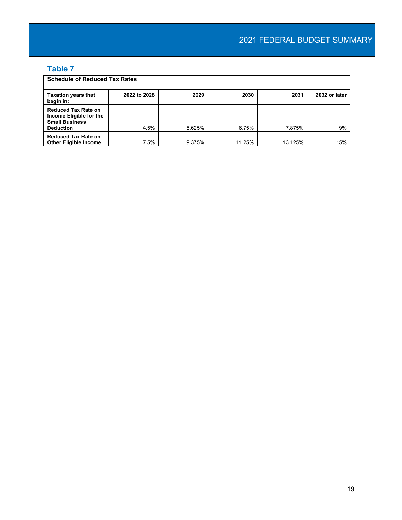# <span id="page-20-0"></span>**Table 7**

| <b>Schedule of Reduced Tax Rates</b>                                                               |              |        |        |         |               |  |
|----------------------------------------------------------------------------------------------------|--------------|--------|--------|---------|---------------|--|
| <b>Taxation years that</b><br>begin in:                                                            | 2022 to 2028 | 2029   | 2030   | 2031    | 2032 or later |  |
| <b>Reduced Tax Rate on</b><br>Income Eligible for the<br><b>Small Business</b><br><b>Deduction</b> | 4.5%         | 5.625% | 6.75%  | 7.875%  | 9%            |  |
| <b>Reduced Tax Rate on</b><br><b>Other Eligible Income</b>                                         | 7.5%         | 9.375% | 11.25% | 13.125% | 15%           |  |